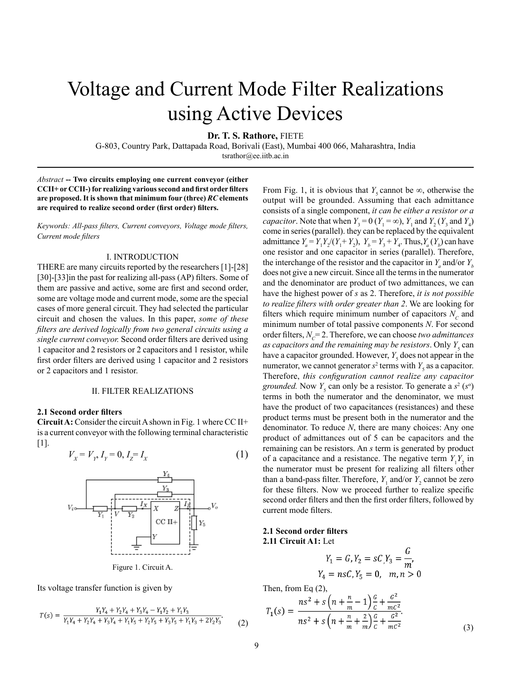# Voltage and Current Mode Filter Realizations using Active Devices

**Dr. T. S. Rathore,** FIETE

G-803, Country Park, Dattapada Road, Borivali (East), Mumbai 400 066, Maharashtra, India

tsrathor@ee.iitb.ac.in

*Abstract* **-- Two circuits employing one current conveyor (either CCII+ or CCII-) for realizing various second and first order filters are proposed. It is shown that minimum four (three)** *RC* **elements are required to realize second order (first order) filters.**

*Keywords: All-pass filters, Current conveyors, Voltage mode filters, Current mode filters*

#### I. INTRODUCTION

THERE are many circuits reported by the researchers [1]-[28] [30]-[33]in the past for realizing all-pass (AP) filters. Some of them are passive and active, some are first and second order, some are voltage mode and current mode, some are the special cases of more general circuit. They had selected the particular circuit and chosen the values. In this paper, *some of these filters are derived logically from two general circuits using a single current conveyor.* Second order filters are derived using 1 capacitor and 2 resistors or 2 capacitors and 1 resistor, while first order filters are derived using 1 capacitor and 2 resistors or 2 capacitors and 1 resistor.

#### II. FILTER REALIZATIONS

## **2.1 Second order filters**

**Circuit A:** Consider the circuit A shown in Fig. 1 where CC II+ is a current conveyor with the following terminal characteristic [1].

$$
V_x = V_y, I_y = 0, I_z = I_x \tag{1}
$$



Figure 1. Circuit A.

Its voltage transfer function is given by

$$
T(s) = \frac{Y_1 Y_4 + Y_2 Y_4 + Y_3 Y_4 - Y_1 Y_2 + Y_1 Y_3}{Y_1 Y_4 + Y_2 Y_4 + Y_3 Y_4 + Y_1 Y_5 + Y_2 Y_5 + Y_3 Y_5 + Y_1 Y_3 + 2Y_2 Y_3}.
$$
 (2)

From Fig. 1, it is obvious that *Y<sub>5</sub>* cannot be  $\infty$ , otherwise the output will be grounded. Assuming that each admittance consists of a single component, *it can be either a resistor or a capacitor*. Note that when  $Y_3 = 0$  ( $Y_1 = \infty$ ),  $Y_1$  and  $Y_2$  ( $Y_3$  and  $Y_4$ ) come in series (parallel). they can be replaced by the equivalent admittance  $Y_a = Y_1 Y_2 / (Y_1 + Y_2)$ ,  $Y_b = Y_3 + Y_4$ . Thus,  $Y_a (Y_b)$  can have one resistor and one capacitor in series (parallel). Therefore, the interchange of the resistor and the capacitor in  $Y_a$  and/or  $Y_b$ does not give a new circuit. Since all the terms in the numerator and the denominator are product of two admittances, we can have the highest power of *s* as 2. Therefore, *it is not possible to realize filters with order greater than 2*. We are looking for filters which require minimum number of capacitors  $N_c$  and minimum number of total passive components *N*. For second order filters,  $N_c = 2$ . Therefore, we can choose *two admittances* as capacitors and the remaining may be resistors. Only  $Y_{5}$  can have a capacitor grounded. However,  $Y_5$  does not appear in the numerator, we cannot generator  $s^2$  terms with  $Y_5$  as a capacitor. Therefore, *this configuration cannot realize any capacitor grounded.* Now  $Y_5$  can only be a resistor. To generate a  $s^2$  ( $s^0$ ) terms in both the numerator and the denominator, we must have the product of two capacitances (resistances) and these product terms must be present both in the numerator and the denominator. To reduce *N*, there are many choices: Any one product of admittances out of 5 can be capacitors and the remaining can be resistors. An *s* term is generated by product of a capacitance and a resistance. The negative term  $Y_1 Y_2$  in the numerator must be present for realizing all filters other than a band-pass filter. Therefore,  $Y_1$  and/or  $Y_2$  cannot be zero for these filters. Now we proceed further to realize specific second order filters and then the first order filters, followed by current mode filters.

## **2.1 Second order filters 2.11 Circuit A1:** Let

$$
Y_1 = G, Y_2 = sC, Y_3 = \frac{G}{m'},
$$
  
 
$$
Y_4 = n sC, Y_5 = 0, \quad m, n > 0
$$

Then, from Eq (2),

$$
T_1(s) = \frac{ns^2 + s\left(n + \frac{n}{m} - 1\right)\frac{c}{c} + \frac{c^2}{mc^2}}{ns^2 + s\left(n + \frac{n}{m} + \frac{2}{m}\right)\frac{c}{c} + \frac{c^2}{mc^2}}.
$$
\n(3)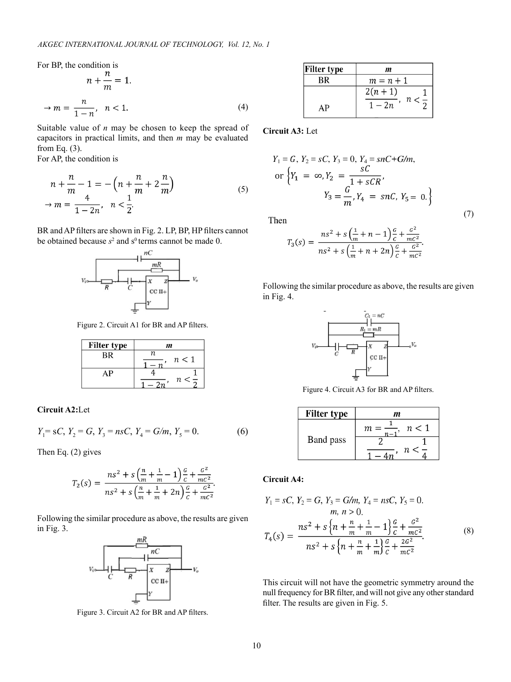For BP, the condition is

$$
n + \frac{n}{m} = 1.
$$
  
\n
$$
\rightarrow m = \frac{n}{1 - n}, \quad n < 1.
$$
\n(4)

Suitable value of *n* may be chosen to keep the spread of capacitors in practical limits, and then *m* may be evaluated from Eq. (3).

For AP, the condition is

$$
n + \frac{n}{m} - 1 = -\left(n + \frac{n}{m} + 2\frac{n}{m}\right) \\
\to m = \frac{4}{1 - 2n}, \quad n < \frac{1}{2}.
$$
\n<sup>(5)</sup>

BR and AP filters are shown in Fig. 2. LP, BP, HP filters cannot be obtained because  $s^2$  and  $s^0$  terms cannot be made 0.



Figure 2. Circuit A1 for BR and AP filters.

| <b>Filter type</b> | m         |  |  |
|--------------------|-----------|--|--|
| ВR                 | n.<br>n<1 |  |  |
|                    |           |  |  |
| ١P                 |           |  |  |
|                    | n         |  |  |

**Circuit A2:**Let

$$
Y_1 = sC, Y_2 = G, Y_3 = nsC, Y_4 = G/m, Y_5 = 0.
$$
 (6)

Then Eq. (2) gives

$$
T_2(s) = \frac{ns^2 + s\left(\frac{n}{m} + \frac{1}{m} - 1\right)\frac{c}{c} + \frac{c^2}{mc^2}}{ns^2 + s\left(\frac{n}{m} + \frac{1}{m} + 2n\right)\frac{c}{c} + \frac{c^2}{mc^2}}.
$$

Following the similar procedure as above, the results are given in Fig. 3.



Figure 3. Circuit A2 for BR and AP filters.

| <b>Filter type</b> | m                     |
|--------------------|-----------------------|
| ВR                 | $m = n + 1$           |
|                    | $2(n + 1)$<br>$n < -$ |
| ΔP                 | $1-2n$                |

**Circuit A3:** Let

$$
Y_1 = G, Y_2 = sC, Y_3 = 0, Y_4 = snC + G/m,
$$
  
or 
$$
\{Y_1 = \infty, Y_2 = \frac{sC}{1 + sCR},
$$

$$
Y_3 = \frac{G}{m}, Y_4 = snC, Y_5 = 0.
$$

(7)

Then

$$
T_3(s) = \frac{ns^2 + s\left(\frac{1}{m} + n - 1\right)\frac{c}{c} + \frac{c^2}{mc^2}}{ns^2 + s\left(\frac{1}{m} + n + 2n\right)\frac{c}{c} + \frac{c^2}{mc^2}}
$$

Following the similar procedure as above, the results are given in Fig. 4.



Figure 4. Circuit A3 for BR and AP filters.

| <b>Filter type</b> | m        |
|--------------------|----------|
| Band pass          | n<1<br>т |
|                    |          |
|                    | п        |

**Circuit A4:**

$$
Y_1 = sC, Y_2 = G, Y_3 = G/m, Y_4 = nsC, Y_5 = 0.
$$
  
\n
$$
m, n > 0.
$$
  
\n
$$
T_4(s) = \frac{ns^2 + s\left\{n + \frac{n}{m} + \frac{1}{m} - 1\right\}\frac{c}{c} + \frac{c^2}{mc^2}}{ns^2 + s\left\{n + \frac{n}{m} + \frac{1}{m}\right\}\frac{c}{c} + \frac{2c^2}{mc^2}}.
$$
\n(8)

This circuit will not have the geometric symmetry around the null frequency for BR filter, and will not give any other standard filter. The results are given in Fig. 5.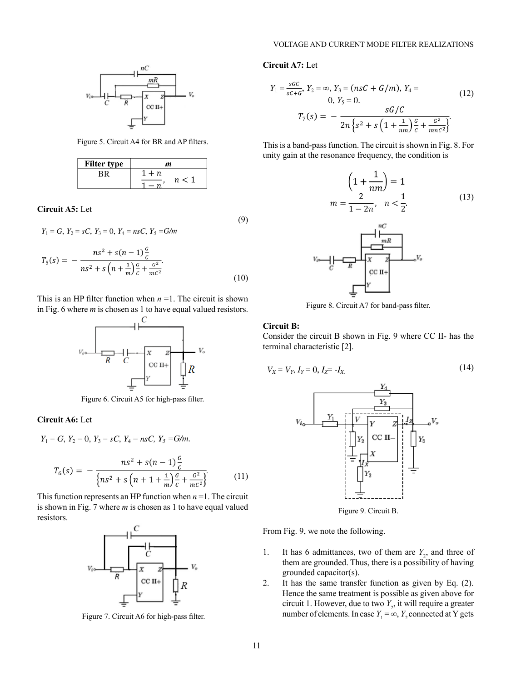

Figure 5. Circuit A4 for BR and AP filters.

| <b>Filter type</b> | m   |  |  |
|--------------------|-----|--|--|
|                    | - n |  |  |
|                    | n.  |  |  |

**Circuit A5:** Let

$$
Y_1 = G, Y_2 = sC, Y_3 = 0, Y_4 = n sC, Y_5 = G/m
$$
\n(9)

$$
T_5(s) = -\frac{ns^2 + s(n-1)\frac{c}{c}}{ns^2 + s\left(n + \frac{1}{m}\right)\frac{c}{c} + \frac{c^2}{mc^2}}.
$$
\n(10)

This is an HP filter function when  $n = 1$ . The circuit is shown in Fig. 6 where *m* is chosen as 1 to have equal valued resistors.



Figure 6. Circuit A5 for high-pass filter.

# **Circuit A6:** Let

 $Y_1 = G$ ,  $Y_2 = 0$ ,  $Y_3 = sC$ ,  $Y_4 = nsC$ ,  $Y_5 = G/m$ .

$$
T_6(s) = -\frac{ns^2 + s(n-1)\frac{c}{c}}{\left\{ns^2 + s\left(n+1+\frac{1}{m}\right)\frac{c}{c} + \frac{c^2}{mc^2}\right\}}.
$$
 (11)

This function represents an HP function when  $n = 1$ . The circuit is shown in Fig. 7 where *m* is chosen as 1 to have equal valued resistors.



Figure 7. Circuit A6 for high-pass filter.

# **Circuit A7:** Let

$$
Y_1 = \frac{scC}{sc+c}, Y_2 = \infty, Y_3 = (nsC + G/m), Y_4 = 0, Y_5 = 0.
$$
\n
$$
T_7(s) = -\frac{sc/C}{2n\left\{s^2 + s\left(1 + \frac{1}{nm}\right)\frac{c}{c} + \frac{c^2}{mnc^2}\right\}}.
$$
\n(12)

This is a band-pass function. The circuit is shown in Fig. 8. For unity gain at the resonance frequency, the condition is

$$
\left(1 + \frac{1}{nm}\right) = 1
$$
  

$$
m = \frac{2}{1 - 2n}, \quad n < \frac{1}{2}.
$$
 (13)



Figure 8. Circuit A7 for band-pass filter.

# **Circuit B:**

Consider the circuit B shown in Fig. 9 where CC II- has the terminal characteristic [2].

$$
V_X = V_Y, I_Y = 0, I_Z = -I_X. \tag{14}
$$



Figure 9. Circuit B.

From Fig. 9, we note the following.

- 1. It has 6 admittances, two of them are  $Y_2$ , and three of them are grounded. Thus, there is a possibility of having grounded capacitor(s).
- 2. It has the same transfer function as given by Eq. (2). Hence the same treatment is possible as given above for circuit 1. However, due to two  $Y_2$ , it will require a greater number of elements. In case  $Y_1 = \infty$ ,  $Y_2$  connected at Y gets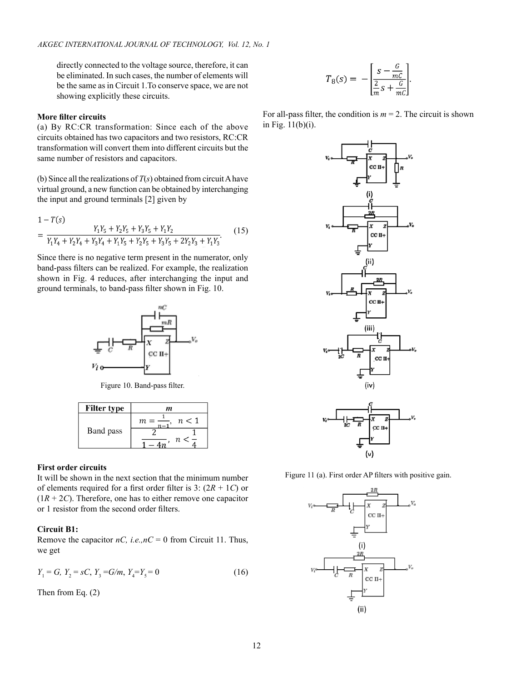directly connected to the voltage source, therefore, it can be eliminated. In such cases, the number of elements will be the same as in Circuit 1.To conserve space, we are not showing explicitly these circuits.

# **More filter circuits**

(a) By RC:CR transformation: Since each of the above circuits obtained has two capacitors and two resistors, RC:CR transformation will convert them into different circuits but the same number of resistors and capacitors.

(b) Since all the realizations of  $T(s)$  obtained from circuit A have virtual ground, a new function can be obtained by interchanging the input and ground terminals [2] given by

$$
1 - T(s)
$$
  
= 
$$
\frac{Y_1 Y_5 + Y_2 Y_5 + Y_3 Y_5 + Y_1 Y_2}{Y_1 Y_4 + Y_2 Y_4 + Y_3 Y_4 + Y_1 Y_5 + Y_2 Y_5 + Y_3 Y_5 + 2Y_2 Y_3 + Y_1 Y_3}.
$$
 (15)

Since there is no negative term present in the numerator, only band-pass filters can be realized. For example, the realization shown in Fig. 4 reduces, after interchanging the input and ground terminals, to band-pass filter shown in Fig. 10.



Figure 10. Band-pass filter.

| <b>Filter type</b> | m   |  |  |  |
|--------------------|-----|--|--|--|
| Band pass          | n<1 |  |  |  |
|                    |     |  |  |  |
|                    | п   |  |  |  |

# **First order circuits**

It will be shown in the next section that the minimum number of elements required for a first order filter is 3: (2*R* + 1*C*) or  $(1R + 2C)$ . Therefore, one has to either remove one capacitor or 1 resistor from the second order filters.

## **Circuit B1:**

Remove the capacitor  $nC$ , *i.e.*, $nC = 0$  from Circuit 11. Thus, we get

$$
Y_1 = G, Y_2 = sC, Y_3 = G/m, Y_4 = Y_5 = 0 \tag{16}
$$

Then from Eq. (2)

$$
T_8(s) = -\left[\frac{s - \frac{G}{mC}}{\frac{2}{m} s + \frac{G}{mC}}\right]
$$

For all-pass filter, the condition is  $m = 2$ . The circuit is shown in Fig. 11(b)(i).



Figure 11 (a). First order AP filters with positive gain.

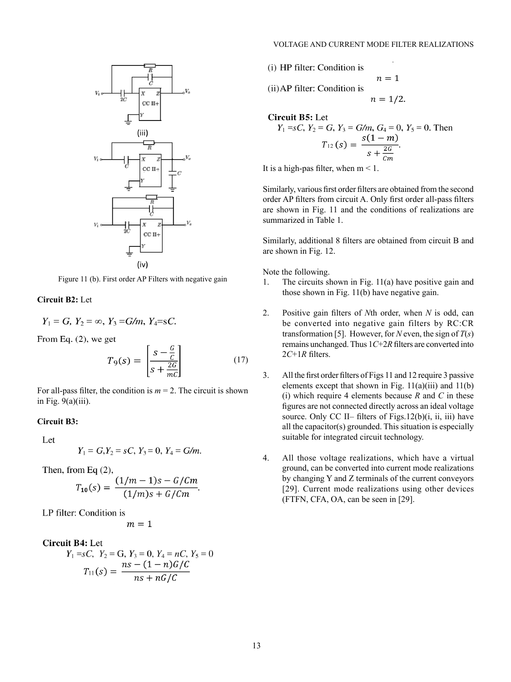

Figure 11 (b). First order AP Filters with negative gain

# **Circuit B2:** Let

$$
Y_1 = G
$$
,  $Y_2 = \infty$ ,  $Y_3 = G/m$ ,  $Y_4 = sC$ .

From Eq.  $(2)$ , we get

$$
T_9(s) = \left[\frac{s - \frac{c}{c}}{s + \frac{2c}{mc}}\right] \tag{17}
$$

For all-pass filter, the condition is  $m = 2$ . The circuit is shown in Fig.  $9(a)(iii)$ .

# **Circuit B3:**

Let

$$
Y_1 = G, Y_2 = sC, Y_3 = 0, Y_4 = G/m.
$$

Then, from Eq  $(2)$ ,

$$
T_{10}(s) = \frac{(1/m - 1)s - G/Cm}{(1/m)s + G/Cm}
$$

LP filter: Condition is

$$
m=1
$$

**Circuit B4: Let** 

$$
Y_1 = sC, \ Y_2 = G, \ Y_3 = 0, \ Y_4 = nC, \ Y_5 = 0
$$

$$
T_{11}(s) = \frac{ns - (1 - n)G/C}{ns + nG/C}
$$

(i) HP filter: Condition is  
\n(ii) AP filter: Condition is  
\n
$$
n = 1/2
$$
.

**Circuit B5:** Let  
\n
$$
Y_1 = sC
$$
,  $Y_2 = G$ ,  $Y_3 = G/m$ ,  $G_4 = 0$ ,  $Y_5 = 0$ . Then  
\n
$$
T_{12}(s) = \frac{s(1-m)}{s + \frac{2G}{cm}}.
$$

It is a high-pas filter, when  $m < 1$ .

Similarly, various first order filters are obtained from the second order AP filters from circuit A. Only first order all-pass filters are shown in Fig. 11 and the conditions of realizations are summarized in Table 1.

Similarly, additional 8 filters are obtained from circuit B and are shown in Fig. 12.

Note the following.

- 1. The circuits shown in Fig. 11(a) have positive gain and those shown in Fig. 11(b) have negative gain.
- 2. Positive gain filters of *N*th order, when *N* is odd, can be converted into negative gain filters by RC:CR transformation [5]. However, for *N* even, the sign of  $T(s)$ remains unchanged. Thus 1*C*+2*R* filters are converted into 2*C*+1*R* filters.
- 3. All the first order filters of Figs 11 and 12 require 3 passive elements except that shown in Fig.  $11(a)(iii)$  and  $11(b)$ (i) which require 4 elements because  $R$  and  $C$  in these figures are not connected directly across an ideal voltage source. Only CC II– filters of Figs.12(b)(i, ii, iii) have all the capacitor(s) grounded. This situation is especially suitable for integrated circuit technology.
- 4. All those voltage realizations, which have a virtual ground, can be converted into current mode realizations by changing Y and Z terminals of the current conveyors [29]. Current mode realizations using other devices (FTFN, CFA, OA, can be seen in [29].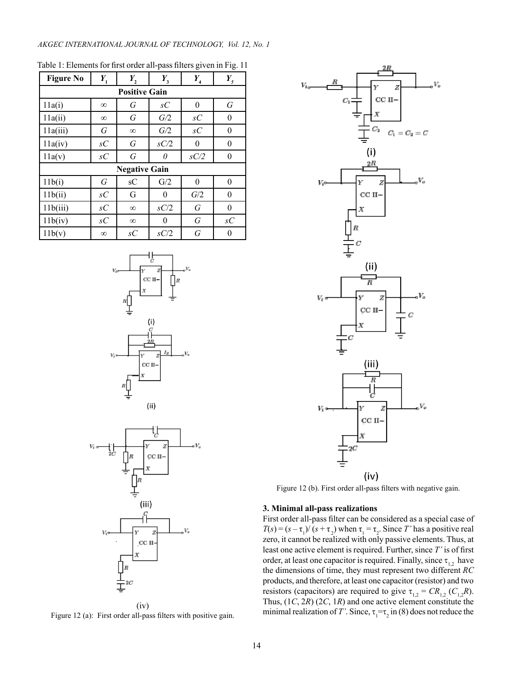#### *AKGEC INTERNATIONAL JOURNAL OF TECHNOLOGY, Vol. 12, No. 1*

| <b>Figure No</b>     | $Y_{1}$        | $Y_{2}$  | $Y_{3}$  | $Y_{4}$          | $Y_{\rm 5}$      |  |  |  |
|----------------------|----------------|----------|----------|------------------|------------------|--|--|--|
| <b>Positive Gain</b> |                |          |          |                  |                  |  |  |  |
| 11a(i)               | $\infty$       | G        | sC       | $\theta$         | G                |  |  |  |
| 11a(ii)              | $\infty$       | G        | G/2      | $\mathcal{S}C$   | $\boldsymbol{0}$ |  |  |  |
| 11a(iii)             | G              | $\infty$ | G/2      | $\mathfrak{s} C$ | $\mathbf{0}$     |  |  |  |
| 11a(iv)              | $\mathcal{S}C$ | G        | sC/2     | $\theta$         | 0                |  |  |  |
| 11a(v)               | sC             | G        | 0        | sC/2             | 0                |  |  |  |
| <b>Negative Gain</b> |                |          |          |                  |                  |  |  |  |
| 11b(i)               | G              | sC       | G/2      | $\theta$         | $\theta$         |  |  |  |
| 11b(ii)              | sC             | G        | $\theta$ | G/2              | $\theta$         |  |  |  |
| 11b(iii)             | sC             | $\infty$ | sC/2     | G                | $\theta$         |  |  |  |
| 11b(iv)              | sC             | $\infty$ | $\theta$ | G                | sC               |  |  |  |
| 11b(v)               | $\infty$       | sC       | sC/2     | G                | 0                |  |  |  |

Table 1: Elements for first order all-pass filters given in Fig. 11





Figure 12 (a): First order all-pass filters with positive gain.



Figure 12 (b). First order all-pass filters with negative gain.

#### **3. Minimal all-pass realizations**

First order all-pass filter can be considered as a special case of  $T(s) = (s - \tau_1)/(s + \tau_2)$  when  $\tau_1 = \tau_2$ . Since *T'* has a positive real zero, it cannot be realized with only passive elements. Thus, at least one active element is required. Further, since *T'* is of first order, at least one capacitor is required. Finally, since  $\tau_{12}$ , have the dimensions of time, they must represent two different *RC* products, and therefore, at least one capacitor (resistor) and two resistors (capacitors) are required to give  $\tau_{1,2} = CR_{1,2}$  ( $C_{1,2}R$ ). Thus, (1*C*, 2*R*) (2*C*, 1*R*) and one active element constitute the minimal realization of *T'*. Since,  $\tau_1 = \tau_2$  in (8) does not reduce the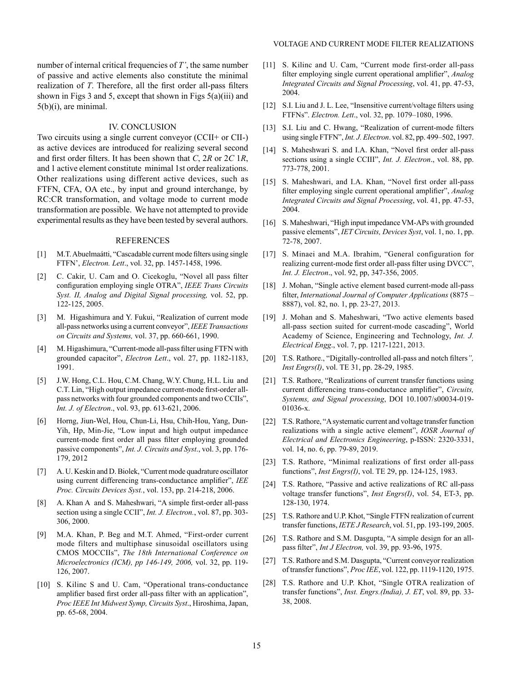number of internal critical frequencies of *T'*, the same number of passive and active elements also constitute the minimal realization of *T*. Therefore, all the first order all-pass filters shown in Figs 3 and 5, except that shown in Figs  $5(a)(iii)$  and 5(b)(i), are minimal.

#### IV. CONCLUSION

Two circuits using a single current conveyor (CCII+ or CII-) as active devices are introduced for realizing several second and first order filters. It has been shown that *C*, 2*R* or 2*C* 1*R*, and 1 active element constitute minimal 1st order realizations. Other realizations using different active devices, such as FTFN, CFA, OA etc., by input and ground interchange, by RC:CR transformation, and voltage mode to current mode transformation are possible. We have not attempted to provide experimental results as they have been tested by several authors.

#### REFERENCES

- [1] M.T. Abuelmaátti, "Cascadable current mode filters using single FTFN', *Electron. Lett*., vol. 32, pp. 1457-1458, 1996.
- [2] C. Cakir, U. Cam and O. Cicekoglu, "Novel all pass filter configuration employing single OTRA", *IEEE Trans Circuits Syst. II, Analog and Digital Signal processing,* vol. 52, pp. 122-125, 2005.
- [3] M. Higashimura and Y. Fukui, "Realization of current mode all-pass networks using a current conveyor", *IEEE Transactions on Circuits and Systems,* vol. 37, pp. 660-661, 1990.
- [4] M. Higashimura, "Current-mode all-pass filter using FTFN with grounded capacitor", *Electron Lett*., vol. 27, pp. 1182-1183, 1991.
- [5] J.W. Hong, C.L. Hou, C.M. Chang, W.Y. Chung, H.L. Liu and C.T. Lin, "High output impedance current-mode first-order allpass networks with four grounded components and two CCIIs", *Int. J. of Electron*., vol. 93, pp. 613-621, 2006.
- [6] Horng, Jiun-Wel, Hou, Chun-Li, Hsu, Chih-Hou, Yang, Dun-Yih, Hp, Min-Jie, "Low input and high output impedance current-mode first order all pass filter employing grounded passive components", *Int. J. Circuits and Syst*., vol. 3, pp. 176- 179, 2012
- [7] A. U. Keskin and D. Biolek, "Current mode quadrature oscillator using current differencing trans-conductance amplifier", *IEE Proc. Circuits Devices Syst.*, vol. 153, pp. 214-218, 2006.
- [8] A. Khan A and S. Maheshwari, "A simple first-order all-pass section using a single CCII", *Int. J. Electron.*, vol. 87, pp. 303- 306, 2000.
- [9] M.A. Khan, P. Beg and M.T. Ahmed, "First-order current mode filters and multiphase sinusoidal oscillators using CMOS MOCCIIs", *The 18th International Conference on Microelectronics (ICM), pp 146-149, 2006,* vol. 32, pp. 119- 126, 2007.
- [10] S. Kilinc S and U. Cam, "Operational trans-conductance" amplifier based first order all-pass filter with an application", *Proc IEEE Int Midwest Symp, Circuits Syst*., Hiroshima, Japan, pp. 65-68, 2004.
- [11] S. Kilinc and U. Cam, "Current mode first-order all-pass filter employing single current operational amplifier", *Analog Integrated Circuits and Signal Processing*, vol. 41, pp. 47-53, 2004.
- [12] S.I. Liu and J. L. Lee, "Insensitive current/voltage filters using FTFNs". *Electron. Lett*., vol. 32, pp. 1079–1080, 1996.
- [13] S.I. Liu and C. Hwang, "Realization of current-mode filters using single FTFN", *Int. J. Electron*. vol. 82, pp. 499–502, 1997.
- [14] S. Maheshwari S. and I.A. Khan, "Novel first order all-pass sections using a single CCIII", *Int. J. Electron*., vol. 88, pp. 773-778, 2001.
- [15] S. Maheshwari, and I.A. Khan, "Novel first order all-pass filter employing single current operational amplifier", *Analog Integrated Circuits and Signal Processing*, vol. 41, pp. 47-53, 2004.
- [16] S. Maheshwari, "High input impedance VM-APs with grounded passive elements", *IET Circuits, Devices Syst*, vol. 1, no. 1, pp. 72-78, 2007.
- [17] S. Minaei and M.A. Ibrahim, "General configuration for realizing current-mode first order all-pass filter using DVCC", *Int. J. Electron*., vol. 92, pp, 347-356, 2005.
- [18] J. Mohan, "Single active element based current-mode all-pass filter, *International Journal of Computer Applications* (8875 – 8887), vol. 82, no. 1, pp. 23-27, 2013.
- [19] J. Mohan and S. Maheshwari, "Two active elements based all-pass section suited for current-mode cascading", World Academy of Science, Engineering and Technology, *Int. J. Electrical Engg*., vol. 7, pp. 1217-1221, 2013.
- [20] T.S. Rathore., "Digitally-controlled all-pass and notch filters*", Inst Engrs(I)*, vol. TE 31, pp. 28-29, 1985.
- [21] T.S. Rathore, "Realizations of current transfer functions using current differencing trans-conductance amplifier", *Circuits, Systems, and Signal processing*, DOI 10.1007/s00034-019- 01036-x.
- [22] T.S. Rathore, "A systematic current and voltage transfer function realizations with a single active element", *IOSR Journal of Electrical and Electronics Engineering*, p-ISSN: 2320-3331, vol. 14, no. 6, pp. 79-89, 2019.
- [23] T.S. Rathore, "Minimal realizations of first order all-pass functions", *Inst Engrs(I)*, vol. TE 29, pp. 124-125, 1983.
- [24] T.S. Rathore, "Passive and active realizations of RC all-pass voltage transfer functions", *Inst Engrs(I)*, vol. 54, ET-3, pp. 128-130, 1974.
- [25] T.S. Rathore and U.P. Khot, "Single FTFN realization of current transfer functions, *IETE J Research*, vol. 51, pp. 193-199, 2005.
- [26] T.S. Rathore and S.M. Dasgupta, "A simple design for an allpass filter", *Int J Electron,* vol. 39, pp. 93-96, 1975.
- [27] T.S. Rathore and S.M. Dasgupta, "Current conveyor realization of transfer functions", *Proc IEE*, vol. 122, pp. 1119-1120, 1975.
- [28] T.S. Rathore and U.P. Khot, "Single OTRA realization of transfer functions", *Inst. Engrs.(India), J. ET*, vol. 89, pp. 33- 38, 2008.